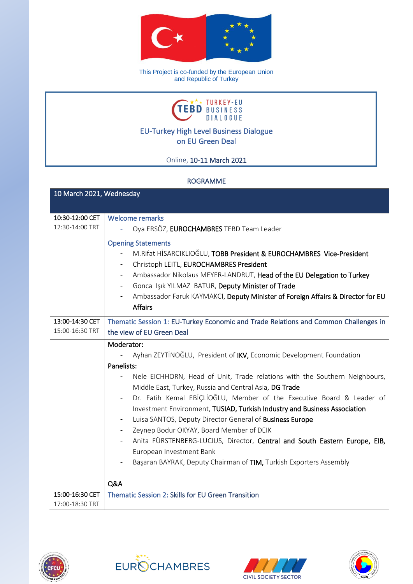

This Project is co-funded by the European Union and Republic of Turkey



EU-Turkey High Level Business Dialogue on EU Green Deal

Online, 10-11 March 2021

## ROGRAMME

| 10 March 2021, Wednesday |                                                                                                                                                                                                                                                                                                                                                                                                                                                                                                                                                                                                                                                                                                                          |  |
|--------------------------|--------------------------------------------------------------------------------------------------------------------------------------------------------------------------------------------------------------------------------------------------------------------------------------------------------------------------------------------------------------------------------------------------------------------------------------------------------------------------------------------------------------------------------------------------------------------------------------------------------------------------------------------------------------------------------------------------------------------------|--|
|                          |                                                                                                                                                                                                                                                                                                                                                                                                                                                                                                                                                                                                                                                                                                                          |  |
| 10:30-12:00 CET          | <b>Welcome remarks</b>                                                                                                                                                                                                                                                                                                                                                                                                                                                                                                                                                                                                                                                                                                   |  |
| 12:30-14:00 TRT          | Oya ERSÖZ, EUROCHAMBRES TEBD Team Leader                                                                                                                                                                                                                                                                                                                                                                                                                                                                                                                                                                                                                                                                                 |  |
|                          | <b>Opening Statements</b><br>M.Rifat HİSARCIKLIOĞLU, TOBB President & EUROCHAMBRES Vice-President<br>Christoph LEITL, EUROCHAMBRES President<br>Ambassador Nikolaus MEYER-LANDRUT, Head of the EU Delegation to Turkey<br>۰.<br>Gonca Işık YILMAZ BATUR, Deputy Minister of Trade<br>Ambassador Faruk KAYMAKCI, Deputy Minister of Foreign Affairs & Director for EU<br><b>Affairs</b>                                                                                                                                                                                                                                                                                                                                   |  |
| 13:00-14:30 CET          | Thematic Session 1: EU-Turkey Economic and Trade Relations and Common Challenges in                                                                                                                                                                                                                                                                                                                                                                                                                                                                                                                                                                                                                                      |  |
| 15:00-16:30 TRT          | the view of EU Green Deal                                                                                                                                                                                                                                                                                                                                                                                                                                                                                                                                                                                                                                                                                                |  |
|                          | Moderator:<br>Ayhan ZEYTİNOĞLU, President of IKV, Economic Development Foundation<br>Panelists:<br>Nele EICHHORN, Head of Unit, Trade relations with the Southern Neighbours,<br>Middle East, Turkey, Russia and Central Asia, DG Trade<br>Dr. Fatih Kemal EBİÇLİOĞLU, Member of the Executive Board & Leader of<br>Investment Environment, TUSIAD, Turkish Industry and Business Association<br>Luisa SANTOS, Deputy Director General of Business Europe<br>Zeynep Bodur OKYAY, Board Member of DEIK<br>$\overline{\phantom{a}}$<br>Anita FÜRSTENBERG-LUCIUS, Director, Central and South Eastern Europe, EIB,<br>European Investment Bank<br>Başaran BAYRAK, Deputy Chairman of TIM, Turkish Exporters Assembly<br>Q&A |  |
| 15:00-16:30 CET          | Thematic Session 2: Skills for EU Green Transition                                                                                                                                                                                                                                                                                                                                                                                                                                                                                                                                                                                                                                                                       |  |
| 17:00-18:30 TRT          |                                                                                                                                                                                                                                                                                                                                                                                                                                                                                                                                                                                                                                                                                                                          |  |







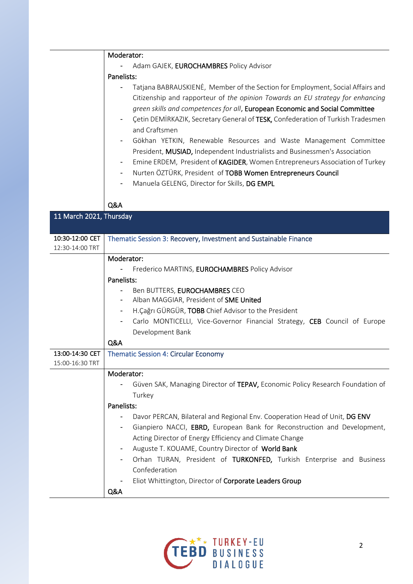|                                    | Moderator:                                                                                                                                                                                                                                                                                                                                                                                                                                                                                                                                                                                                                                                                                                                           |
|------------------------------------|--------------------------------------------------------------------------------------------------------------------------------------------------------------------------------------------------------------------------------------------------------------------------------------------------------------------------------------------------------------------------------------------------------------------------------------------------------------------------------------------------------------------------------------------------------------------------------------------------------------------------------------------------------------------------------------------------------------------------------------|
|                                    | Adam GAJEK, EUROCHAMBRES Policy Advisor                                                                                                                                                                                                                                                                                                                                                                                                                                                                                                                                                                                                                                                                                              |
|                                    | Panelists:                                                                                                                                                                                                                                                                                                                                                                                                                                                                                                                                                                                                                                                                                                                           |
|                                    | Tatjana BABRAUSKIENĖ, Member of the Section for Employment, Social Affairs and<br>Citizenship and rapporteur of the opinion Towards an EU strategy for enhancing<br>green skills and competences for all, European Economic and Social Committee<br>Çetin DEMİRKAZIK, Secretary General of TESK, Confederation of Turkish Tradesmen<br>and Craftsmen<br>Gökhan YETKIN, Renewable Resources and Waste Management Committee<br>President, MUSIAD, Independent Industrialists and Businessmen's Association<br>Emine ERDEM, President of KAGIDER, Women Entrepreneurs Association of Turkey<br>Nurten ÖZTÜRK, President of TOBB Women Entrepreneurs Council<br>$\overline{\phantom{a}}$<br>Manuela GELENG, Director for Skills, DG EMPL |
|                                    | Q&A                                                                                                                                                                                                                                                                                                                                                                                                                                                                                                                                                                                                                                                                                                                                  |
| 11 March 2021, Thursday            |                                                                                                                                                                                                                                                                                                                                                                                                                                                                                                                                                                                                                                                                                                                                      |
| 10:30-12:00 CET<br>12:30-14:00 TRT | Thematic Session 3: Recovery, Investment and Sustainable Finance                                                                                                                                                                                                                                                                                                                                                                                                                                                                                                                                                                                                                                                                     |
|                                    | Moderator:                                                                                                                                                                                                                                                                                                                                                                                                                                                                                                                                                                                                                                                                                                                           |
|                                    | Frederico MARTINS, EUROCHAMBRES Policy Advisor                                                                                                                                                                                                                                                                                                                                                                                                                                                                                                                                                                                                                                                                                       |
|                                    | Panelists:                                                                                                                                                                                                                                                                                                                                                                                                                                                                                                                                                                                                                                                                                                                           |
|                                    | Ben BUTTERS, EUROCHAMBRES CEO                                                                                                                                                                                                                                                                                                                                                                                                                                                                                                                                                                                                                                                                                                        |
|                                    | Alban MAGGIAR, President of SME United                                                                                                                                                                                                                                                                                                                                                                                                                                                                                                                                                                                                                                                                                               |
|                                    | H.Çağrı GÜRGÜR, TOBB Chief Advisor to the President<br>$\overline{\phantom{a}}$                                                                                                                                                                                                                                                                                                                                                                                                                                                                                                                                                                                                                                                      |
|                                    | Carlo MONTICELLI, Vice-Governor Financial Strategy, CEB Council of Europe                                                                                                                                                                                                                                                                                                                                                                                                                                                                                                                                                                                                                                                            |
|                                    | Development Bank                                                                                                                                                                                                                                                                                                                                                                                                                                                                                                                                                                                                                                                                                                                     |
|                                    | Q&A                                                                                                                                                                                                                                                                                                                                                                                                                                                                                                                                                                                                                                                                                                                                  |
| 13:00-14:30 CET                    | <b>Thematic Session 4: Circular Economy</b>                                                                                                                                                                                                                                                                                                                                                                                                                                                                                                                                                                                                                                                                                          |
| 15:00-16:30 TRT                    |                                                                                                                                                                                                                                                                                                                                                                                                                                                                                                                                                                                                                                                                                                                                      |
|                                    | Moderator:                                                                                                                                                                                                                                                                                                                                                                                                                                                                                                                                                                                                                                                                                                                           |
|                                    | Güven SAK, Managing Director of TEPAV, Economic Policy Research Foundation of                                                                                                                                                                                                                                                                                                                                                                                                                                                                                                                                                                                                                                                        |
|                                    | Turkey                                                                                                                                                                                                                                                                                                                                                                                                                                                                                                                                                                                                                                                                                                                               |
|                                    | Panelists:                                                                                                                                                                                                                                                                                                                                                                                                                                                                                                                                                                                                                                                                                                                           |
|                                    | Davor PERCAN, Bilateral and Regional Env. Cooperation Head of Unit, DG ENV<br>-                                                                                                                                                                                                                                                                                                                                                                                                                                                                                                                                                                                                                                                      |
|                                    | Gianpiero NACCI, EBRD, European Bank for Reconstruction and Development,                                                                                                                                                                                                                                                                                                                                                                                                                                                                                                                                                                                                                                                             |
|                                    | Acting Director of Energy Efficiency and Climate Change                                                                                                                                                                                                                                                                                                                                                                                                                                                                                                                                                                                                                                                                              |
|                                    | Auguste T. KOUAME, Country Director of World Bank                                                                                                                                                                                                                                                                                                                                                                                                                                                                                                                                                                                                                                                                                    |
|                                    | Orhan TURAN, President of TURKONFED, Turkish Enterprise and Business                                                                                                                                                                                                                                                                                                                                                                                                                                                                                                                                                                                                                                                                 |
|                                    | Confederation                                                                                                                                                                                                                                                                                                                                                                                                                                                                                                                                                                                                                                                                                                                        |
|                                    | Eliot Whittington, Director of Corporate Leaders Group                                                                                                                                                                                                                                                                                                                                                                                                                                                                                                                                                                                                                                                                               |
|                                    | Q&A                                                                                                                                                                                                                                                                                                                                                                                                                                                                                                                                                                                                                                                                                                                                  |